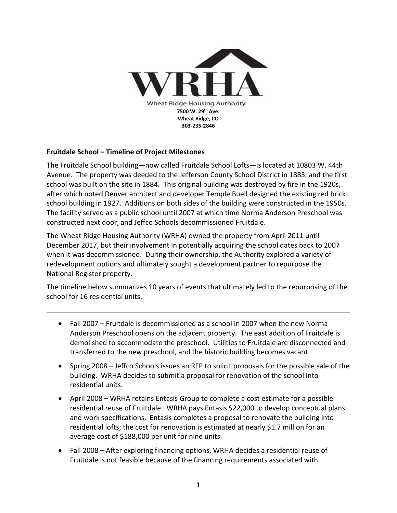

## **Fruitdale School – Timeline of Project Milestones**

The Fruitdale School building—now called Fruitdale School Lofts—is located at 10803 W. 44th Avenue. The property was deeded to the Jefferson County School District in 1883, and the first school was built on the site in 1884. This original building was destroyed by fire in the 1920s, after which noted Denver architect and developer Temple Buell designed the existing red brick school building in 1927. Additions on both sides of the building were constructed in the 1950s. The facility served as a public school until 2007 at which time Norma Anderson Preschool was constructed next door, and Jeffco Schools decommissioned Fruitdale.

The Wheat Ridge Housing Authority (WRHA) owned the property from April 2011 until December 2017, but their involvement in potentially acquiring the school dates back to 2007 when it was decommissioned. During their ownership, the Authority explored a variety of redevelopment options and ultimately sought a development partner to repurpose the National Register property.

The timeline below summarizes 10 years of events that ultimately led to the repurposing of the school for 16 residential units.

- Fall 2007 Fruitdale is decommissioned as a school in 2007 when the new Norma Anderson Preschool opens on the adjacent property. The east addition of Fruitdale is demolished to accommodate the preschool. Utilities to Fruitdale are disconnected and transferred to the new preschool, and the historic building becomes vacant.
- Spring 2008 Jeffco Schools issues an RFP to solicit proposals for the possible sale of the building. WRHA decides to submit a proposal for renovation of the school into residential units.
- April 2008 WRHA retains Entasis Group to complete a cost estimate for a possible residential reuse of Fruitdale. WRHA pays Entasis \$22,000 to develop conceptual plans and work specifications. Entasis completes a proposal to renovate the building into residential lofts; the cost for renovation is estimated at nearly \$1.7 million for an average cost of \$188,000 per unit for nine units.
- Fall 2008 After exploring financing options, WRHA decides a residential reuse of Fruitdale is not feasible because of the financing requirements associated with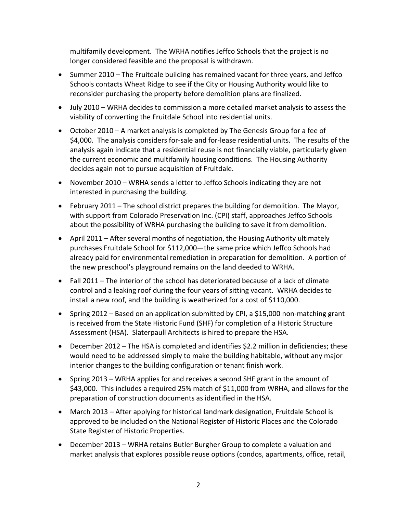multifamily development. The WRHA notifies Jeffco Schools that the project is no longer considered feasible and the proposal is withdrawn.

- Summer 2010 The Fruitdale building has remained vacant for three years, and Jeffco Schools contacts Wheat Ridge to see if the City or Housing Authority would like to reconsider purchasing the property before demolition plans are finalized.
- July 2010 WRHA decides to commission a more detailed market analysis to assess the viability of converting the Fruitdale School into residential units.
- October 2010 A market analysis is completed by The Genesis Group for a fee of \$4,000. The analysis considers for-sale and for-lease residential units. The results of the analysis again indicate that a residential reuse is not financially viable, particularly given the current economic and multifamily housing conditions. The Housing Authority decides again not to pursue acquisition of Fruitdale.
- November 2010 WRHA sends a letter to Jeffco Schools indicating they are not interested in purchasing the building.
- February 2011 The school district prepares the building for demolition. The Mayor, with support from Colorado Preservation Inc. (CPI) staff, approaches Jeffco Schools about the possibility of WRHA purchasing the building to save it from demolition.
- April 2011 After several months of negotiation, the Housing Authority ultimately purchases Fruitdale School for \$112,000—the same price which Jeffco Schools had already paid for environmental remediation in preparation for demolition. A portion of the new preschool's playground remains on the land deeded to WRHA.
- Fall 2011 The interior of the school has deteriorated because of a lack of climate control and a leaking roof during the four years of sitting vacant. WRHA decides to install a new roof, and the building is weatherized for a cost of \$110,000.
- Spring 2012 Based on an application submitted by CPI, a \$15,000 non-matching grant is received from the State Historic Fund (SHF) for completion of a Historic Structure Assessment (HSA). Slaterpaull Architects is hired to prepare the HSA.
- December 2012 The HSA is completed and identifies \$2.2 million in deficiencies; these would need to be addressed simply to make the building habitable, without any major interior changes to the building configuration or tenant finish work.
- Spring 2013 WRHA applies for and receives a second SHF grant in the amount of \$43,000. This includes a required 25% match of \$11,000 from WRHA, and allows for the preparation of construction documents as identified in the HSA.
- March 2013 After applying for historical landmark designation, Fruitdale School is approved to be included on the National Register of Historic Places and the Colorado State Register of Historic Properties.
- December 2013 WRHA retains Butler Burgher Group to complete a valuation and market analysis that explores possible reuse options (condos, apartments, office, retail,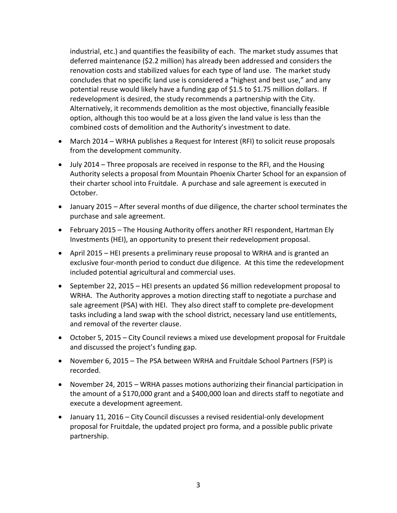industrial, etc.) and quantifies the feasibility of each. The market study assumes that deferred maintenance (\$2.2 million) has already been addressed and considers the renovation costs and stabilized values for each type of land use. The market study concludes that no specific land use is considered a "highest and best use," and any potential reuse would likely have a funding gap of \$1.5 to \$1.75 million dollars. If redevelopment is desired, the study recommends a partnership with the City. Alternatively, it recommends demolition as the most objective, financially feasible option, although this too would be at a loss given the land value is less than the combined costs of demolition and the Authority's investment to date.

- March 2014 WRHA publishes a Request for Interest (RFI) to solicit reuse proposals from the development community.
- July 2014 Three proposals are received in response to the RFI, and the Housing Authority selects a proposal from Mountain Phoenix Charter School for an expansion of their charter school into Fruitdale. A purchase and sale agreement is executed in October.
- January 2015 After several months of due diligence, the charter school terminates the purchase and sale agreement.
- February 2015 The Housing Authority offers another RFI respondent, Hartman Ely Investments (HEI), an opportunity to present their redevelopment proposal.
- April 2015 HEI presents a preliminary reuse proposal to WRHA and is granted an exclusive four-month period to conduct due diligence. At this time the redevelopment included potential agricultural and commercial uses.
- September 22, 2015 HEI presents an updated \$6 million redevelopment proposal to WRHA. The Authority approves a motion directing staff to negotiate a purchase and sale agreement (PSA) with HEI. They also direct staff to complete pre-development tasks including a land swap with the school district, necessary land use entitlements, and removal of the reverter clause.
- October 5, 2015 City Council reviews a mixed use development proposal for Fruitdale and discussed the project's funding gap.
- November 6, 2015 The PSA between WRHA and Fruitdale School Partners (FSP) is recorded.
- November 24, 2015 WRHA passes motions authorizing their financial participation in the amount of a \$170,000 grant and a \$400,000 loan and directs staff to negotiate and execute a development agreement.
- January 11, 2016 City Council discusses a revised residential-only development proposal for Fruitdale, the updated project pro forma, and a possible public private partnership.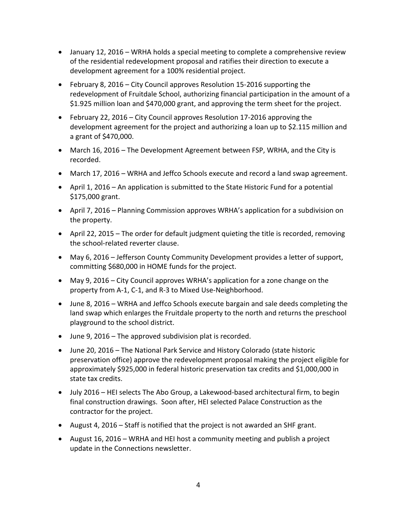- January 12, 2016 WRHA holds a special meeting to complete a comprehensive review of the residential redevelopment proposal and ratifies their direction to execute a development agreement for a 100% residential project.
- February 8, 2016 City Council approves Resolution 15-2016 supporting the redevelopment of Fruitdale School, authorizing financial participation in the amount of a \$1.925 million loan and \$470,000 grant, and approving the term sheet for the project.
- February 22, 2016 City Council approves Resolution 17-2016 approving the development agreement for the project and authorizing a loan up to \$2.115 million and a grant of \$470,000.
- March 16, 2016 The Development Agreement between FSP, WRHA, and the City is recorded.
- March 17, 2016 WRHA and Jeffco Schools execute and record a land swap agreement.
- April 1, 2016 An application is submitted to the State Historic Fund for a potential \$175,000 grant.
- April 7, 2016 Planning Commission approves WRHA's application for a subdivision on the property.
- April 22, 2015 The order for default judgment quieting the title is recorded, removing the school-related reverter clause.
- May 6, 2016 Jefferson County Community Development provides a letter of support, committing \$680,000 in HOME funds for the project.
- May 9, 2016 City Council approves WRHA's application for a zone change on the property from A-1, C-1, and R-3 to Mixed Use-Neighborhood.
- June 8, 2016 WRHA and Jeffco Schools execute bargain and sale deeds completing the land swap which enlarges the Fruitdale property to the north and returns the preschool playground to the school district.
- June 9, 2016 The approved subdivision plat is recorded.
- June 20, 2016 The National Park Service and History Colorado (state historic preservation office) approve the redevelopment proposal making the project eligible for approximately \$925,000 in federal historic preservation tax credits and \$1,000,000 in state tax credits.
- July 2016 HEI selects The Abo Group, a Lakewood-based architectural firm, to begin final construction drawings. Soon after, HEI selected Palace Construction as the contractor for the project.
- August 4, 2016 Staff is notified that the project is not awarded an SHF grant.
- August 16, 2016 WRHA and HEI host a community meeting and publish a project update in the Connections newsletter.